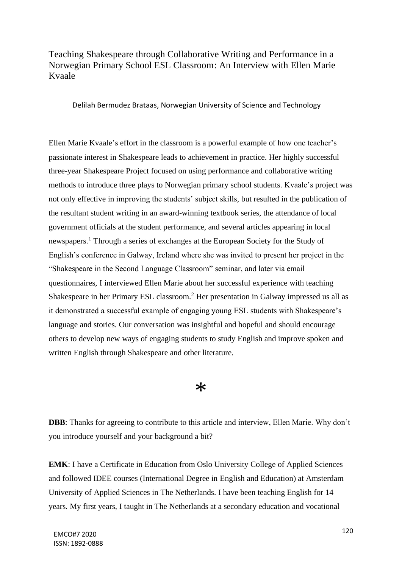## Teaching Shakespeare through Collaborative Writing and Performance in a Norwegian Primary School ESL Classroom: An Interview with Ellen Marie Kvaale

Delilah Bermudez Brataas, Norwegian University of Science and Technology

Ellen Marie Kvaale's effort in the classroom is a powerful example of how one teacher's passionate interest in Shakespeare leads to achievement in practice. Her highly successful three-year Shakespeare Project focused on using performance and collaborative writing methods to introduce three plays to Norwegian primary school students. Kvaale's project was not only effective in improving the students' subject skills, but resulted in the publication of the resultant student writing in an award-winning textbook series, the attendance of local government officials at the student performance, and several articles appearing in local newspapers. <sup>1</sup> Through a series of exchanges at the European Society for the Study of English's conference in Galway, Ireland where she was invited to present her project in the "Shakespeare in the Second Language Classroom" seminar, and later via email questionnaires, I interviewed Ellen Marie about her successful experience with teaching Shakespeare in her Primary ESL classroom.<sup>2</sup> Her presentation in Galway impressed us all as it demonstrated a successful example of engaging young ESL students with Shakespeare's language and stories. Our conversation was insightful and hopeful and should encourage others to develop new ways of engaging students to study English and improve spoken and written English through Shakespeare and other literature.

### $\ast$

**DBB**: Thanks for agreeing to contribute to this article and interview, Ellen Marie. Why don't you introduce yourself and your background a bit?

**EMK**: I have a Certificate in Education from Oslo University College of Applied Sciences and followed IDEE courses (International Degree in English and Education) at Amsterdam University of Applied Sciences in The Netherlands. I have been teaching English for 14 years. My first years, I taught in The Netherlands at a secondary education and vocational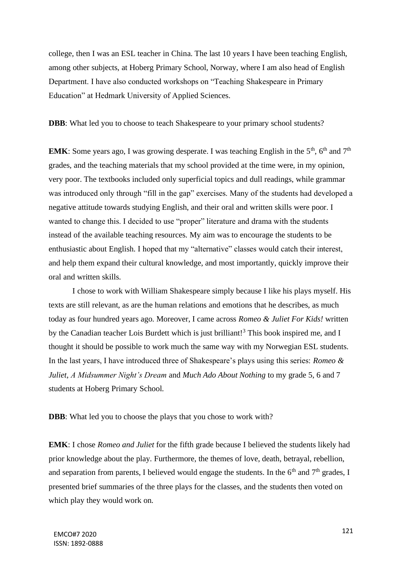college, then I was an ESL teacher in China. The last 10 years I have been teaching English, among other subjects, at Hoberg Primary School, Norway, where I am also head of English Department. I have also conducted workshops on "Teaching Shakespeare in Primary Education" at Hedmark University of Applied Sciences.

**DBB**: What led you to choose to teach Shakespeare to your primary school students?

**EMK**: Some years ago, I was growing desperate. I was teaching English in the  $5<sup>th</sup>$ ,  $6<sup>th</sup>$  and  $7<sup>th</sup>$ grades, and the teaching materials that my school provided at the time were, in my opinion, very poor. The textbooks included only superficial topics and dull readings, while grammar was introduced only through "fill in the gap" exercises. Many of the students had developed a negative attitude towards studying English, and their oral and written skills were poor. I wanted to change this. I decided to use "proper" literature and drama with the students instead of the available teaching resources. My aim was to encourage the students to be enthusiastic about English. I hoped that my "alternative" classes would catch their interest, and help them expand their cultural knowledge, and most importantly, quickly improve their oral and written skills.

I chose to work with William Shakespeare simply because I like his plays myself. His texts are still relevant, as are the human relations and emotions that he describes, as much today as four hundred years ago. Moreover, I came across *Romeo & Juliet For Kids!* written by the Canadian teacher Lois Burdett which is just brilliant!<sup>3</sup> This book inspired me, and I thought it should be possible to work much the same way with my Norwegian ESL students. In the last years, I have introduced three of Shakespeare's plays using this series: *Romeo & Juliet*, *A Midsummer Night's Dream* and *Much Ado About Nothing* to my grade 5, 6 and 7 students at Hoberg Primary School.

**DBB**: What led you to choose the plays that you chose to work with?

**EMK**: I chose *Romeo and Juliet* for the fifth grade because I believed the students likely had prior knowledge about the play. Furthermore, the themes of love, death, betrayal, rebellion, and separation from parents, I believed would engage the students. In the  $6<sup>th</sup>$  and  $7<sup>th</sup>$  grades, I presented brief summaries of the three plays for the classes, and the students then voted on which play they would work on.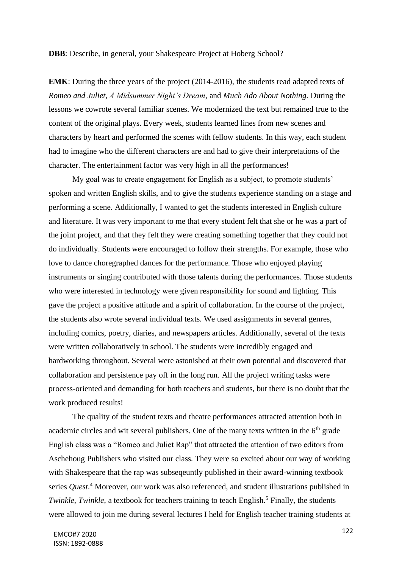#### **DBB**: Describe, in general, your Shakespeare Project at Hoberg School?

**EMK**: During the three years of the project (2014-2016), the students read adapted texts of *Romeo and Juliet*, *A Midsummer Night's Dream*, and *Much Ado About Nothing*. During the lessons we cowrote several familiar scenes. We modernized the text but remained true to the content of the original plays. Every week, students learned lines from new scenes and characters by heart and performed the scenes with fellow students. In this way, each student had to imagine who the different characters are and had to give their interpretations of the character. The entertainment factor was very high in all the performances!

My goal was to create engagement for English as a subject, to promote students' spoken and written English skills, and to give the students experience standing on a stage and performing a scene. Additionally, I wanted to get the students interested in English culture and literature. It was very important to me that every student felt that she or he was a part of the joint project, and that they felt they were creating something together that they could not do individually. Students were encouraged to follow their strengths. For example, those who love to dance choregraphed dances for the performance. Those who enjoyed playing instruments or singing contributed with those talents during the performances. Those students who were interested in technology were given responsibility for sound and lighting. This gave the project a positive attitude and a spirit of collaboration. In the course of the project, the students also wrote several individual texts. We used assignments in several genres, including comics, poetry, diaries, and newspapers articles. Additionally, several of the texts were written collaboratively in school. The students were incredibly engaged and hardworking throughout. Several were astonished at their own potential and discovered that collaboration and persistence pay off in the long run. All the project writing tasks were process-oriented and demanding for both teachers and students, but there is no doubt that the work produced results!

The quality of the student texts and theatre performances attracted attention both in academic circles and wit several publishers. One of the many texts written in the  $6<sup>th</sup>$  grade English class was a "Romeo and Juliet Rap" that attracted the attention of two editors from Aschehoug Publishers who visited our class. They were so excited about our way of working with Shakespeare that the rap was subseqeuntly published in their award-winning textbook series *Quest*. <sup>4</sup> Moreover, our work was also referenced, and student illustrations published in *Twinkle, Twinkle*, a textbook for teachers training to teach English.<sup>5</sup> Finally, the students were allowed to join me during several lectures I held for English teacher training students at

<sup>122</sup> EMCO#7 2020 ISSN: 1892-0888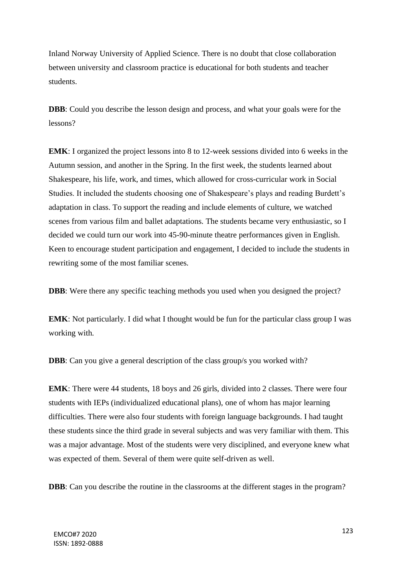Inland Norway University of Applied Science. There is no doubt that close collaboration between university and classroom practice is educational for both students and teacher students.

**DBB**: Could you describe the lesson design and process, and what your goals were for the lessons?

**EMK**: I organized the project lessons into 8 to 12-week sessions divided into 6 weeks in the Autumn session, and another in the Spring. In the first week, the students learned about Shakespeare, his life, work, and times, which allowed for cross-curricular work in Social Studies. It included the students choosing one of Shakespeare's plays and reading Burdett's adaptation in class. To support the reading and include elements of culture, we watched scenes from various film and ballet adaptations. The students became very enthusiastic, so I decided we could turn our work into 45-90-minute theatre performances given in English. Keen to encourage student participation and engagement, I decided to include the students in rewriting some of the most familiar scenes.

**DBB**: Were there any specific teaching methods you used when you designed the project?

**EMK**: Not particularly. I did what I thought would be fun for the particular class group I was working with.

**DBB**: Can you give a general description of the class group/s you worked with?

**EMK**: There were 44 students, 18 boys and 26 girls, divided into 2 classes. There were four students with IEPs (individualized educational plans), one of whom has major learning difficulties. There were also four students with foreign language backgrounds. I had taught these students since the third grade in several subjects and was very familiar with them. This was a major advantage. Most of the students were very disciplined, and everyone knew what was expected of them. Several of them were quite self-driven as well.

**DBB**: Can you describe the routine in the classrooms at the different stages in the program?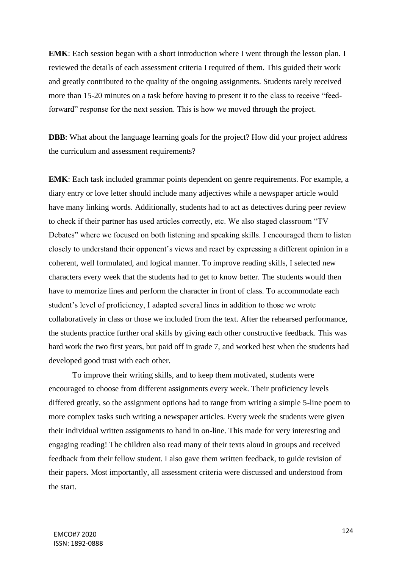**EMK**: Each session began with a short introduction where I went through the lesson plan. I reviewed the details of each assessment criteria I required of them. This guided their work and greatly contributed to the quality of the ongoing assignments. Students rarely received more than 15-20 minutes on a task before having to present it to the class to receive "feedforward" response for the next session. This is how we moved through the project.

**DBB**: What about the language learning goals for the project? How did your project address the curriculum and assessment requirements?

**EMK**: Each task included grammar points dependent on genre requirements. For example, a diary entry or love letter should include many adjectives while a newspaper article would have many linking words. Additionally, students had to act as detectives during peer review to check if their partner has used articles correctly, etc. We also staged classroom "TV Debates" where we focused on both listening and speaking skills. I encouraged them to listen closely to understand their opponent's views and react by expressing a different opinion in a coherent, well formulated, and logical manner. To improve reading skills, I selected new characters every week that the students had to get to know better. The students would then have to memorize lines and perform the character in front of class. To accommodate each student's level of proficiency, I adapted several lines in addition to those we wrote collaboratively in class or those we included from the text. After the rehearsed performance, the students practice further oral skills by giving each other constructive feedback. This was hard work the two first years, but paid off in grade 7, and worked best when the students had developed good trust with each other.

To improve their writing skills, and to keep them motivated, students were encouraged to choose from different assignments every week. Their proficiency levels differed greatly, so the assignment options had to range from writing a simple 5-line poem to more complex tasks such writing a newspaper articles. Every week the students were given their individual written assignments to hand in on-line. This made for very interesting and engaging reading! The children also read many of their texts aloud in groups and received feedback from their fellow student. I also gave them written feedback, to guide revision of their papers. Most importantly, all assessment criteria were discussed and understood from the start.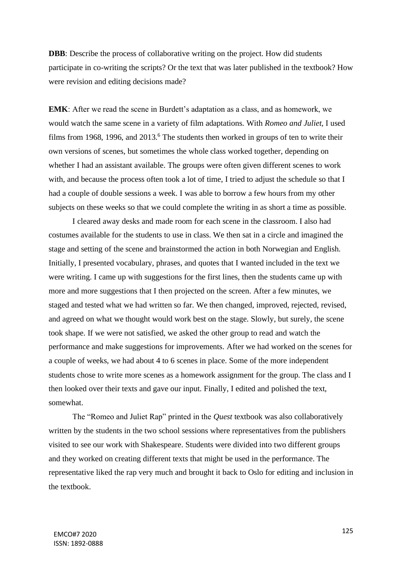**DBB**: Describe the process of collaborative writing on the project. How did students participate in co-writing the scripts? Or the text that was later published in the textbook? How were revision and editing decisions made?

**EMK**: After we read the scene in Burdett's adaptation as a class, and as homework, we would watch the same scene in a variety of film adaptations. With *Romeo and Juliet*, I used films from 1968, 1996, and  $2013<sup>6</sup>$ . The students then worked in groups of ten to write their own versions of scenes, but sometimes the whole class worked together, depending on whether I had an assistant available. The groups were often given different scenes to work with, and because the process often took a lot of time, I tried to adjust the schedule so that I had a couple of double sessions a week. I was able to borrow a few hours from my other subjects on these weeks so that we could complete the writing in as short a time as possible.

I cleared away desks and made room for each scene in the classroom. I also had costumes available for the students to use in class. We then sat in a circle and imagined the stage and setting of the scene and brainstormed the action in both Norwegian and English. Initially, I presented vocabulary, phrases, and quotes that I wanted included in the text we were writing. I came up with suggestions for the first lines, then the students came up with more and more suggestions that I then projected on the screen. After a few minutes, we staged and tested what we had written so far. We then changed, improved, rejected, revised, and agreed on what we thought would work best on the stage. Slowly, but surely, the scene took shape. If we were not satisfied, we asked the other group to read and watch the performance and make suggestions for improvements. After we had worked on the scenes for a couple of weeks, we had about 4 to 6 scenes in place. Some of the more independent students chose to write more scenes as a homework assignment for the group. The class and I then looked over their texts and gave our input. Finally, I edited and polished the text, somewhat.

The "Romeo and Juliet Rap" printed in the *Quest* textbook was also collaboratively written by the students in the two school sessions where representatives from the publishers visited to see our work with Shakespeare. Students were divided into two different groups and they worked on creating different texts that might be used in the performance. The representative liked the rap very much and brought it back to Oslo for editing and inclusion in the textbook.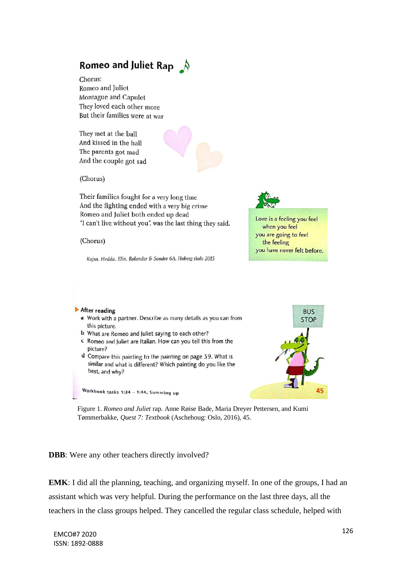# Romeo and Juliet Rap  $\bigwedge$

Chorus: Romeo and Juliet Montague and Capulet They loved each other more But their families were at war

They met at the ball And kissed in the hall The parents got mad And the couple got sad



(Chorus)

Their families fought for a very long time And the fighting ended with a very big crime Romeo and Juliet both ended up dead "I can't live without you", was the last thing they said.

(Chorus)

Kajsa, Hedda, Elin, Rolander & Sondre 6A, Hoberg skole 2015

Love is a feeling you feel

when you feel you are going to feel the feeling you have never felt before.

#### After reading

- a Work with a partner. Describe as many details as you can from this picture.
- **b** What are Romeo and Juliet saying to each other?
- c Romeo and Juliet are Italian. How can you tell this from the picture?
- d Compare this painting to the painting on page 39. What is similar and what is different? Which painting do you like the best, and why?

Workbook tasks 1:34 - 1:44, Summing up



Figure 1. *Romeo and Juliet* rap. Anne Røise Bade, Maria Dreyer Pettersen, and Kumi Tømmerbakke, *Quest 7: Textbook* (Aschehoug: Oslo, 2016), 45.

**DBB**: Were any other teachers directly involved?

**EMK**: I did all the planning, teaching, and organizing myself. In one of the groups, I had an assistant which was very helpful. During the performance on the last three days, all the teachers in the class groups helped. They cancelled the regular class schedule, helped with

<sup>126</sup> EMCO#7 2020 ISSN: 1892-0888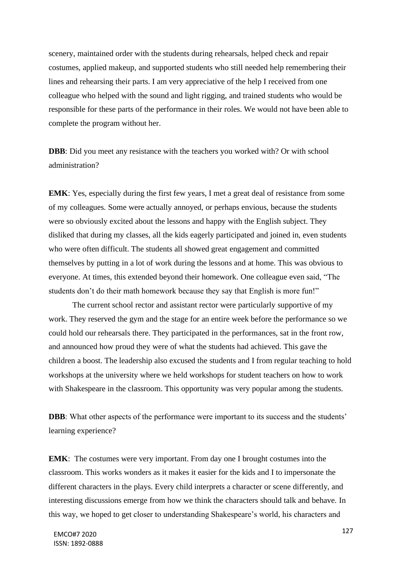scenery, maintained order with the students during rehearsals, helped check and repair costumes, applied makeup, and supported students who still needed help remembering their lines and rehearsing their parts. I am very appreciative of the help I received from one colleague who helped with the sound and light rigging, and trained students who would be responsible for these parts of the performance in their roles. We would not have been able to complete the program without her.

**DBB**: Did you meet any resistance with the teachers you worked with? Or with school administration?

**EMK**: Yes, especially during the first few years, I met a great deal of resistance from some of my colleagues. Some were actually annoyed, or perhaps envious, because the students were so obviously excited about the lessons and happy with the English subject. They disliked that during my classes, all the kids eagerly participated and joined in, even students who were often difficult. The students all showed great engagement and committed themselves by putting in a lot of work during the lessons and at home. This was obvious to everyone. At times, this extended beyond their homework. One colleague even said, "The students don't do their math homework because they say that English is more fun!"

The current school rector and assistant rector were particularly supportive of my work. They reserved the gym and the stage for an entire week before the performance so we could hold our rehearsals there. They participated in the performances, sat in the front row, and announced how proud they were of what the students had achieved. This gave the children a boost. The leadership also excused the students and I from regular teaching to hold workshops at the university where we held workshops for student teachers on how to work with Shakespeare in the classroom. This opportunity was very popular among the students.

**DBB**: What other aspects of the performance were important to its success and the students' learning experience?

**EMK**: The costumes were very important. From day one I brought costumes into the classroom. This works wonders as it makes it easier for the kids and I to impersonate the different characters in the plays. Every child interprets a character or scene differently, and interesting discussions emerge from how we think the characters should talk and behave. In this way, we hoped to get closer to understanding Shakespeare's world, his characters and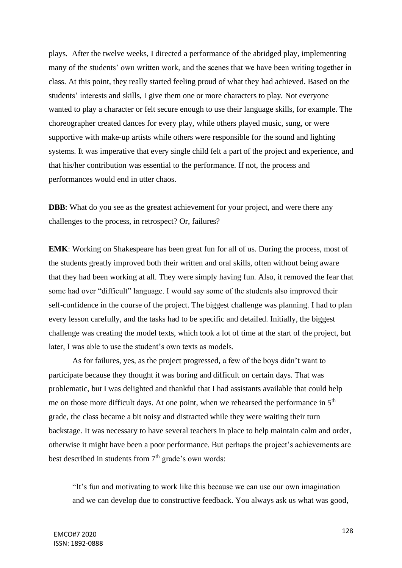plays. After the twelve weeks, I directed a performance of the abridged play, implementing many of the students' own written work, and the scenes that we have been writing together in class. At this point, they really started feeling proud of what they had achieved. Based on the students' interests and skills, I give them one or more characters to play. Not everyone wanted to play a character or felt secure enough to use their language skills, for example. The choreographer created dances for every play, while others played music, sung, or were supportive with make-up artists while others were responsible for the sound and lighting systems. It was imperative that every single child felt a part of the project and experience, and that his/her contribution was essential to the performance. If not, the process and performances would end in utter chaos.

**DBB**: What do you see as the greatest achievement for your project, and were there any challenges to the process, in retrospect? Or, failures?

**EMK**: Working on Shakespeare has been great fun for all of us. During the process, most of the students greatly improved both their written and oral skills, often without being aware that they had been working at all. They were simply having fun. Also, it removed the fear that some had over "difficult" language. I would say some of the students also improved their self-confidence in the course of the project. The biggest challenge was planning. I had to plan every lesson carefully, and the tasks had to be specific and detailed. Initially, the biggest challenge was creating the model texts, which took a lot of time at the start of the project, but later, I was able to use the student's own texts as models.

As for failures, yes, as the project progressed, a few of the boys didn't want to participate because they thought it was boring and difficult on certain days. That was problematic, but I was delighted and thankful that I had assistants available that could help me on those more difficult days. At one point, when we rehearsed the performance in  $5<sup>th</sup>$ grade, the class became a bit noisy and distracted while they were waiting their turn backstage. It was necessary to have several teachers in place to help maintain calm and order, otherwise it might have been a poor performance. But perhaps the project's achievements are best described in students from  $7<sup>th</sup>$  grade's own words:

"It's fun and motivating to work like this because we can use our own imagination and we can develop due to constructive feedback. You always ask us what was good,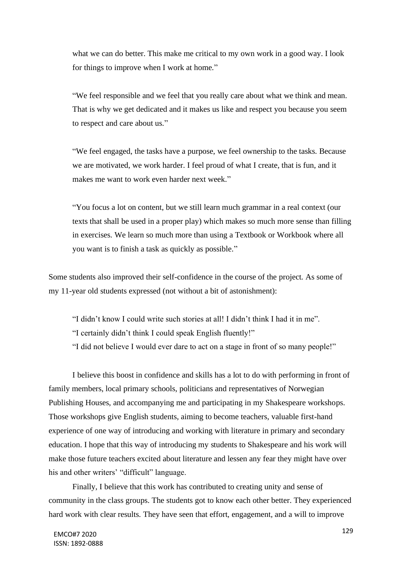what we can do better. This make me critical to my own work in a good way. I look for things to improve when I work at home."

"We feel responsible and we feel that you really care about what we think and mean. That is why we get dedicated and it makes us like and respect you because you seem to respect and care about us."

"We feel engaged, the tasks have a purpose, we feel ownership to the tasks. Because we are motivated, we work harder. I feel proud of what I create, that is fun, and it makes me want to work even harder next week."

"You focus a lot on content, but we still learn much grammar in a real context (our texts that shall be used in a proper play) which makes so much more sense than filling in exercises. We learn so much more than using a Textbook or Workbook where all you want is to finish a task as quickly as possible."

Some students also improved their self-confidence in the course of the project. As some of my 11-year old students expressed (not without a bit of astonishment):

"I didn't know I could write such stories at all! I didn't think I had it in me".

"I certainly didn't think I could speak English fluently!"

"I did not believe I would ever dare to act on a stage in front of so many people!"

I believe this boost in confidence and skills has a lot to do with performing in front of family members, local primary schools, politicians and representatives of Norwegian Publishing Houses, and accompanying me and participating in my Shakespeare workshops. Those workshops give English students, aiming to become teachers, valuable first-hand experience of one way of introducing and working with literature in primary and secondary education. I hope that this way of introducing my students to Shakespeare and his work will make those future teachers excited about literature and lessen any fear they might have over his and other writers' "difficult" language.

Finally, I believe that this work has contributed to creating unity and sense of community in the class groups. The students got to know each other better. They experienced hard work with clear results. They have seen that effort, engagement, and a will to improve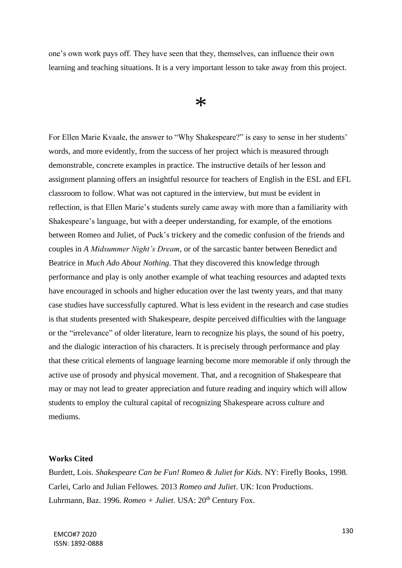one's own work pays off. They have seen that they, themselves, can influence their own learning and teaching situations. It is a very important lesson to take away from this project.

## $\ast$

For Ellen Marie Kvaale, the answer to "Why Shakespeare?" is easy to sense in her students' words, and more evidently, from the success of her project which is measured through demonstrable, concrete examples in practice. The instructive details of her lesson and assignment planning offers an insightful resource for teachers of English in the ESL and EFL classroom to follow. What was not captured in the interview, but must be evident in reflection, is that Ellen Marie's students surely came away with more than a familiarity with Shakespeare's language, but with a deeper understanding, for example, of the emotions between Romeo and Juliet, of Puck's trickery and the comedic confusion of the friends and couples in *A Midsummer Night's Dream*, or of the sarcastic banter between Benedict and Beatrice in *Much Ado About Nothing*. That they discovered this knowledge through performance and play is only another example of what teaching resources and adapted texts have encouraged in schools and higher education over the last twenty years, and that many case studies have successfully captured. What is less evident in the research and case studies is that students presented with Shakespeare, despite perceived difficulties with the language or the "irrelevance" of older literature, learn to recognize his plays, the sound of his poetry, and the dialogic interaction of his characters. It is precisely through performance and play that these critical elements of language learning become more memorable if only through the active use of prosody and physical movement. That, and a recognition of Shakespeare that may or may not lead to greater appreciation and future reading and inquiry which will allow students to employ the cultural capital of recognizing Shakespeare across culture and mediums.

#### **Works Cited**

Burdett, Lois. *Shakespeare Can be Fun! Romeo & Juliet for Kids*. NY: Firefly Books, 1998. Carlei, Carlo and Julian Fellowes. 2013 *Romeo and Juliet*. UK: Icon Productions. Luhrmann, Baz. 1996. *Romeo + Juliet*. USA:  $20<sup>th</sup>$  Century Fox.